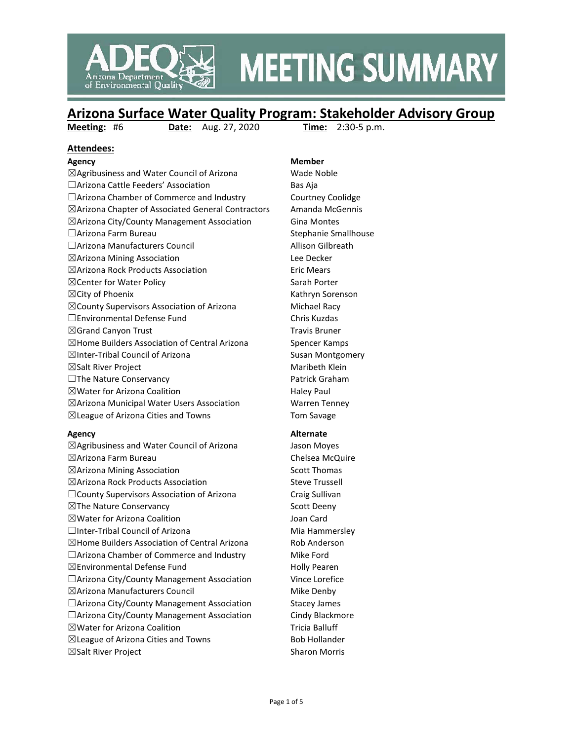

# **MEETING SUMMARY**

## **Arizona Surface Water Quality Program: Stakeholder Advisory Group**<br>Meeting: #6 Date: Aug. 27, 2020 Time: 2:30-5 p.m.

**Meeting: #6 <b>Date:** Aug. 27, 2020

#### **Attendees:**

 $\boxtimes$ Agribusiness and Water Council of Arizona Wade Noble □Arizona Cattle Feeders' Association Bas Aja □Arizona Chamber of Commerce and Industry Courtney Coolidge ☒Arizona Chapter of Associated General Contractors Amanda McGennis  $\boxtimes$ Arizona City/County Management Association Gina Montes □Arizona Farm Bureau Stephanie Smallhouse ☐Arizona Manufacturers Council Allison Gilbreath ☒Arizona Mining Association Lee Decker ☒Arizona Rock Products Association Eric Mears ⊠ Center for Water Policy Sarah Porter ☒City of Phoenix Kathryn Sorenson  $\boxtimes$  County Supervisors Association of Arizona Michael Racy ☐Environmental Defense Fund Chris Kuzdas  $\boxtimes$ Grand Canyon Trust Travis Bruner  $\boxtimes$  Home Builders Association of Central Arizona Spencer Kamps ⊠Inter-Tribal Council of Arizona Susan Montgomery  $\boxtimes$ Salt River Project  $\boxtimes$  Maribeth Klein □The Nature Conservancy Patrick Graham  $\boxtimes$  Water for Arizona Coalition  $\Box$  Haley Paul  $\boxtimes$ Arizona Municipal Water Users Association Warren Tenney ☒League of Arizona Cities and Towns Tom Savage

 $\boxtimes$ Agribusiness and Water Council of Arizona Jason Moyes ☒Arizona Farm Bureau Chelsea McQuire ☒Arizona Mining Association Scott Thomas ☒Arizona Rock Products Association Steve Trussell ☐County Supervisors Association of Arizona Craig Sullivan ⊠The Nature Conservancy Scott Deeny ☒Water for Arizona Coalition Joan Card □Inter-Tribal Council of Arizona Mia Hammersley  $\boxtimes$ Home Builders Association of Central Arizona Rob Anderson  $\Box$ Arizona Chamber of Commerce and Industry Mike Ford  $\boxtimes$ Environmental Defense Fund Holly Pearen □Arizona City/County Management Association Vince Lorefice  $\boxtimes$ Arizona Manufacturers Council  $\boxtimes$  Mike Denby □Arizona City/County Management Association Stacey James □Arizona City/County Management Association Cindy Blackmore ⊠Water for Arizona Coalition Tricia Balluff  $\boxtimes$ League of Arizona Cities and Towns Bob Hollander ☒Salt River Project Sharon Morris

### **Agency Member**

## **Agency Alternate**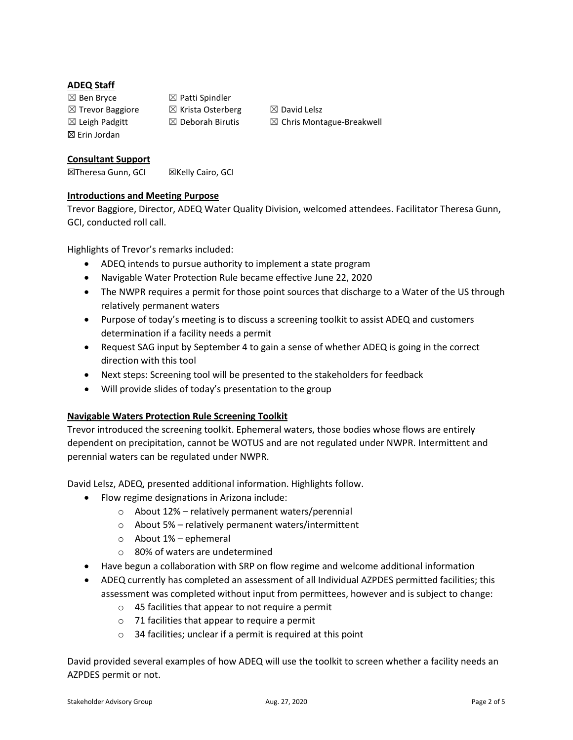#### **ADEQ Staff**

 $\boxtimes$  Ben Bryce  $\boxtimes$  Patti Spindler ☒ Erin Jordan

 $\boxtimes$  Trevor Baggiore  $\boxtimes$  Krista Osterberg  $\boxtimes$  David Lelsz

 $\boxtimes$  Leigh Padgitt  $\boxtimes$  Deborah Birutis  $\boxtimes$  Chris Montague-Breakwell

#### **Consultant Support**

**⊠Theresa Gunn, GCI ⊠Kelly Cairo, GCI** 

#### **Introductions and Meeting Purpose**

Trevor Baggiore, Director, ADEQ Water Quality Division, welcomed attendees. Facilitator Theresa Gunn, GCI, conducted roll call.

Highlights of Trevor's remarks included:

- ADEQ intends to pursue authority to implement a state program
- Navigable Water Protection Rule became effective June 22, 2020
- The NWPR requires a permit for those point sources that discharge to a Water of the US through relatively permanent waters
- Purpose of today's meeting is to discuss a screening toolkit to assist ADEQ and customers determination if a facility needs a permit
- Request SAG input by September 4 to gain a sense of whether ADEQ is going in the correct direction with this tool
- Next steps: Screening tool will be presented to the stakeholders for feedback
- Will provide slides of today's presentation to the group

#### **Navigable Waters Protection Rule Screening Toolkit**

Trevor introduced the screening toolkit. Ephemeral waters, those bodies whose flows are entirely dependent on precipitation, cannot be WOTUS and are not regulated under NWPR. Intermittent and perennial waters can be regulated under NWPR.

David Lelsz, ADEQ, presented additional information. Highlights follow.

- Flow regime designations in Arizona include:
	- o About 12% relatively permanent waters/perennial
	- o About 5% relatively permanent waters/intermittent
	- $\circ$  About 1% ephemeral
	- o 80% of waters are undetermined
- Have begun a collaboration with SRP on flow regime and welcome additional information
- ADEQ currently has completed an assessment of all Individual AZPDES permitted facilities; this assessment was completed without input from permittees, however and is subject to change:
	- o 45 facilities that appear to not require a permit
	- o 71 facilities that appear to require a permit
	- $\circ$  34 facilities; unclear if a permit is required at this point

David provided several examples of how ADEQ will use the toolkit to screen whether a facility needs an AZPDES permit or not.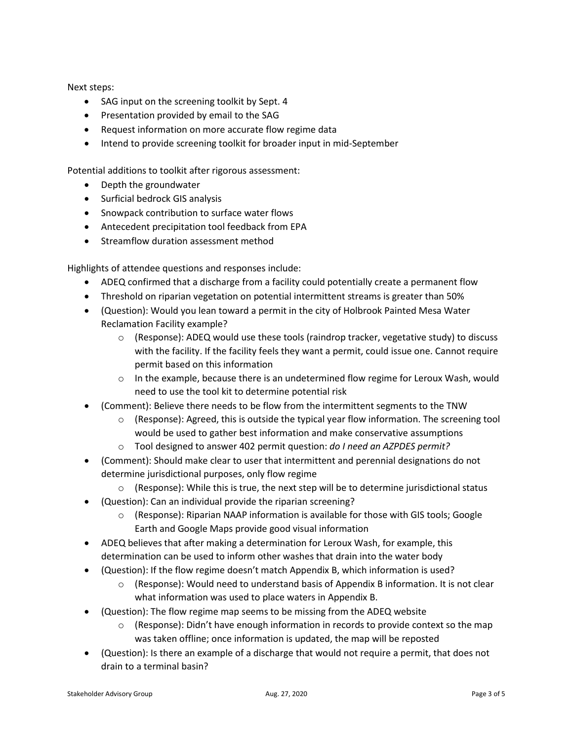Next steps:

- SAG input on the screening toolkit by Sept. 4
- Presentation provided by email to the SAG
- Request information on more accurate flow regime data
- Intend to provide screening toolkit for broader input in mid-September

Potential additions to toolkit after rigorous assessment:

- Depth the groundwater
- Surficial bedrock GIS analysis
- Snowpack contribution to surface water flows
- Antecedent precipitation tool feedback from EPA
- Streamflow duration assessment method

Highlights of attendee questions and responses include:

- ADEQ confirmed that a discharge from a facility could potentially create a permanent flow
- Threshold on riparian vegetation on potential intermittent streams is greater than 50%
- (Question): Would you lean toward a permit in the city of Holbrook Painted Mesa Water Reclamation Facility example?
	- $\circ$  (Response): ADEQ would use these tools (raindrop tracker, vegetative study) to discuss with the facility. If the facility feels they want a permit, could issue one. Cannot require permit based on this information
	- $\circ$  In the example, because there is an undetermined flow regime for Leroux Wash, would need to use the tool kit to determine potential risk
- (Comment): Believe there needs to be flow from the intermittent segments to the TNW
	- $\circ$  (Response): Agreed, this is outside the typical year flow information. The screening tool would be used to gather best information and make conservative assumptions
	- o Tool designed to answer 402 permit question: *do I need an AZPDES permit?*
- (Comment): Should make clear to user that intermittent and perennial designations do not determine jurisdictional purposes, only flow regime
	- $\circ$  (Response): While this is true, the next step will be to determine jurisdictional status
- (Question): Can an individual provide the riparian screening?
	- $\circ$  (Response): Riparian NAAP information is available for those with GIS tools; Google Earth and Google Maps provide good visual information
- ADEQ believes that after making a determination for Leroux Wash, for example, this determination can be used to inform other washes that drain into the water body
- (Question): If the flow regime doesn't match Appendix B, which information is used?
	- $\circ$  (Response): Would need to understand basis of Appendix B information. It is not clear what information was used to place waters in Appendix B.
- (Question): The flow regime map seems to be missing from the ADEQ website
	- $\circ$  (Response): Didn't have enough information in records to provide context so the map was taken offline; once information is updated, the map will be reposted
- (Question): Is there an example of a discharge that would not require a permit, that does not drain to a terminal basin?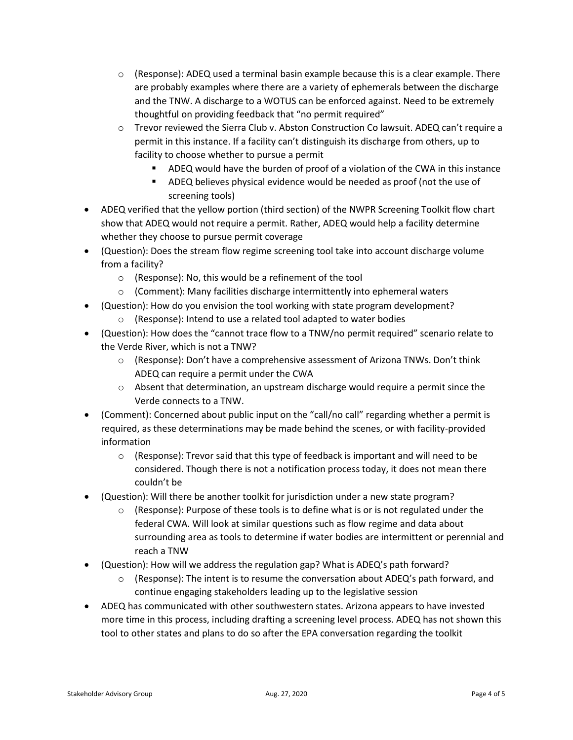- $\circ$  (Response): ADEQ used a terminal basin example because this is a clear example. There are probably examples where there are a variety of ephemerals between the discharge and the TNW. A discharge to a WOTUS can be enforced against. Need to be extremely thoughtful on providing feedback that "no permit required"
- o Trevor reviewed the Sierra Club v. Abston Construction Co lawsuit. ADEQ can't require a permit in this instance. If a facility can't distinguish its discharge from others, up to facility to choose whether to pursue a permit
	- ADEQ would have the burden of proof of a violation of the CWA in this instance
	- ADEQ believes physical evidence would be needed as proof (not the use of screening tools)
- ADEQ verified that the yellow portion (third section) of the NWPR Screening Toolkit flow chart show that ADEQ would not require a permit. Rather, ADEQ would help a facility determine whether they choose to pursue permit coverage
- (Question): Does the stream flow regime screening tool take into account discharge volume from a facility?
	- o (Response): No, this would be a refinement of the tool
	- o (Comment): Many facilities discharge intermittently into ephemeral waters
- (Question): How do you envision the tool working with state program development?
	- o (Response): Intend to use a related tool adapted to water bodies
- (Question): How does the "cannot trace flow to a TNW/no permit required" scenario relate to the Verde River, which is not a TNW?
	- o (Response): Don't have a comprehensive assessment of Arizona TNWs. Don't think ADEQ can require a permit under the CWA
	- $\circ$  Absent that determination, an upstream discharge would require a permit since the Verde connects to a TNW.
- (Comment): Concerned about public input on the "call/no call" regarding whether a permit is required, as these determinations may be made behind the scenes, or with facility-provided information
	- $\circ$  (Response): Trevor said that this type of feedback is important and will need to be considered. Though there is not a notification process today, it does not mean there couldn't be
- (Question): Will there be another toolkit for jurisdiction under a new state program?
	- $\circ$  (Response): Purpose of these tools is to define what is or is not regulated under the federal CWA. Will look at similar questions such as flow regime and data about surrounding area as tools to determine if water bodies are intermittent or perennial and reach a TNW
- (Question): How will we address the regulation gap? What is ADEQ's path forward?
	- $\circ$  (Response): The intent is to resume the conversation about ADEQ's path forward, and continue engaging stakeholders leading up to the legislative session
- ADEQ has communicated with other southwestern states. Arizona appears to have invested more time in this process, including drafting a screening level process. ADEQ has not shown this tool to other states and plans to do so after the EPA conversation regarding the toolkit